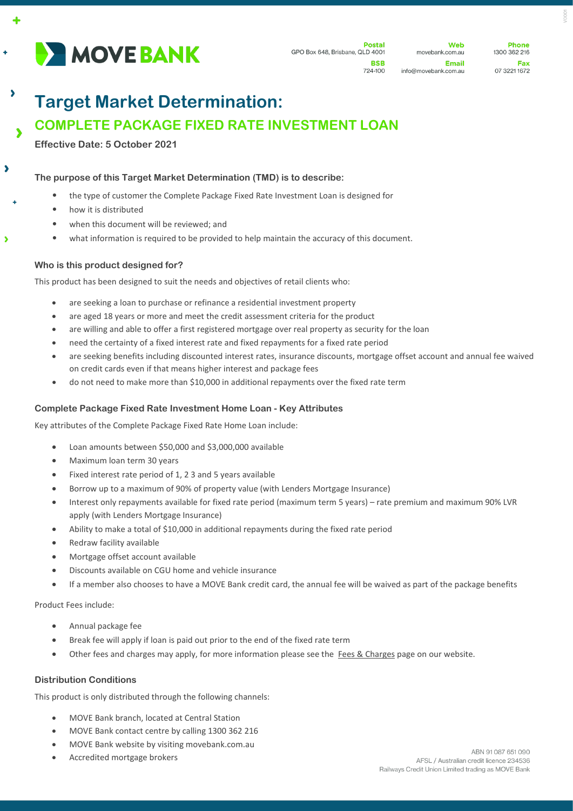

 $\ddot{\bullet}$ 

 $\overline{\phantom{a}}$ 

 $\overline{\phantom{a}}$ 

Ä

**Web** movebank.com.au Email info@movebank.com.au

**Dhone** 1300 362 216 Fax 07 3221 1672

# **Target Market Determination:**

# **COMPLETE PACKAGE FIXED RATE INVESTMENT LOAN**

**Effective Date: 5 October 2021**

**The purpose of this Target Market Determination (TMD) is to describe:**

- the type of customer the Complete Package Fixed Rate Investment Loan is designed for
- how it is distributed
- when this document will be reviewed; and
- what information is required to be provided to help maintain the accuracy of this document.

## **Who is this product designed for?**

This product has been designed to suit the needs and objectives of retail clients who:

- are seeking a loan to purchase or refinance a residential investment property
- are aged 18 years or more and meet the credit assessment criteria for the product
- are willing and able to offer a first registered mortgage over real property as security for the loan
- need the certainty of a fixed interest rate and fixed repayments for a fixed rate period
- are seeking benefits including discounted interest rates, insurance discounts, mortgage offset account and annual fee waived on credit cards even if that means higher interest and package fees
- do not need to make more than \$10,000 in additional repayments over the fixed rate term

### **Complete Package Fixed Rate Investment Home Loan - Key Attributes**

Key attributes of the Complete Package Fixed Rate Home Loan include:

- Loan amounts between \$50,000 and \$3,000,000 available
- Maximum loan term 30 years
- Fixed interest rate period of 1, 2 3 and 5 years available
- Borrow up to a maximum of 90% of property value (with Lenders Mortgage Insurance)
- Interest only repayments available for fixed rate period (maximum term 5 years) rate premium and maximum 90% LVR apply (with Lenders Mortgage Insurance)
- Ability to make a total of \$10,000 in additional repayments during the fixed rate period
- Redraw facility available
- Mortgage offset account available
- Discounts available on CGU home and vehicle insurance
- If a member also chooses to have a MOVE Bank credit card, the annual fee will be waived as part of the package benefits

Product Fees include:

- Annual package fee
- Break fee will apply if loan is paid out prior to the end of the fixed rate term
- Other fees and charges may apply, for more information please see the [Fees & Charges](https://movebank.com.au/quick-links/fees-charges/) page on our website.

#### **Distribution Conditions**

This product is only distributed through the following channels:

- MOVE Bank branch, located at Central Station
- MOVE Bank contact centre by calling 1300 362 216
- MOVE Bank website by visiting movebank.com.au
- Accredited mortgage brokers